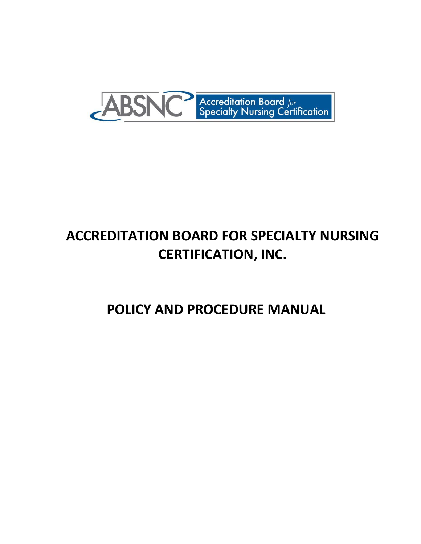

# **ACCREDITATION BOARD FOR SPECIALTY NURSING CERTIFICATION, INC.**

 **POLICY AND PROCEDURE MANUAL**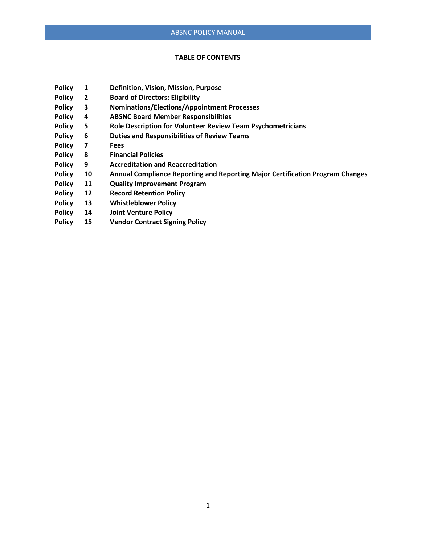#### **TABLE OF CONTENTS**

- **Policy 1 Definition, Vision, Mission, Purpose**
- **Policy 2 Board of Directors: Eligibility**
- **Policy 3 Nominations/Elections/Appointment Processes**
- **Policy 4 ABSNC Board Member Responsibilities**
- **Policy 5 Role Description for Volunteer Review Team Psychometricians**
- **Policy 6 Duties and Responsibilities of Review Teams**
- **Policy 7 Fees**
- **Policy 8 Financial Policies**
- **Policy 9 Accreditation and Reaccreditation**
- **Policy 10 Annual Compliance Reporting and Reporting Major Certification Program Changes**
- **Policy 11 Quality Improvement Program**
- **Policy 12 Record Retention Policy**
- **Policy 13 Whistleblower Policy**
- **Policy 14 Joint Venture Policy**
- **Policy 15 Vendor Contract Signing Policy**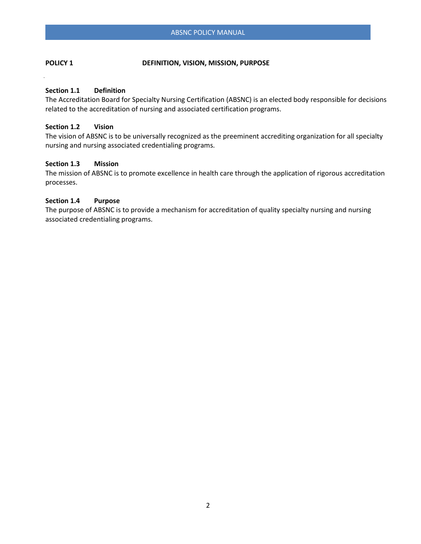# **POLICY 1 DEFINITION, VISION, MISSION, PURPOSE**

# **Section 1.1 Definition**

The Accreditation Board for Specialty Nursing Certification (ABSNC) is an elected body responsible for decisions related to the accreditation of nursing and associated certification programs.

# **Section 1.2 Vision**

The vision of ABSNC is to be universally recognized as the preeminent accrediting organization for all specialty nursing and nursing associated credentialing programs.

# **Section 1.3 Mission**

The mission of ABSNC is to promote excellence in health care through the application of rigorous accreditation processes.

# **Section 1.4 Purpose**

The purpose of ABSNC is to provide a mechanism for accreditation of quality specialty nursing and nursing associated credentialing programs.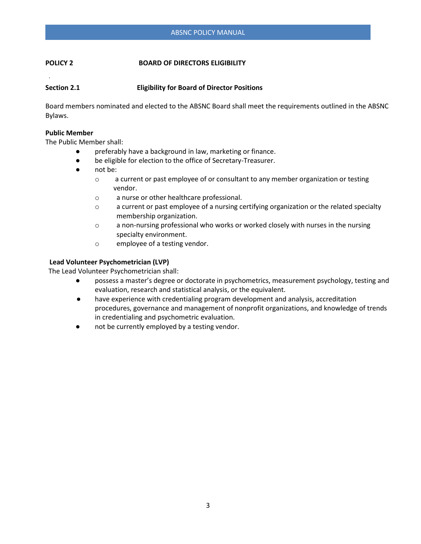# **POLICY 2 BOARD OF DIRECTORS ELIGIBILITY**

# **Section 2.1 Eligibility for Board of Director Positions**

Board members nominated and elected to the ABSNC Board shall meet the requirements outlined in the ABSNC Bylaws.

#### **Public Member**

The Public Member shall:

- preferably have a background in law, marketing or finance.
- be eligible for election to the office of Secretary-Treasurer.
- not be:
	- o a current or past employee of or consultant to any member organization or testing vendor.
	- o a nurse or other healthcare professional.
	- $\circ$  a current or past employee of a nursing certifying organization or the related specialty membership organization.
	- o a non-nursing professional who works or worked closely with nurses in the nursing specialty environment.
	- o employee of a testing vendor.

#### **Lead Volunteer Psychometrician (LVP)**

The Lead Volunteer Psychometrician shall:

- possess a master's degree or doctorate in psychometrics, measurement psychology, testing and evaluation, research and statistical analysis, or the equivalent.
- have experience with credentialing program development and analysis, accreditation procedures, governance and management of nonprofit organizations, and knowledge of trends in credentialing and psychometric evaluation.
- not be currently employed by a testing vendor.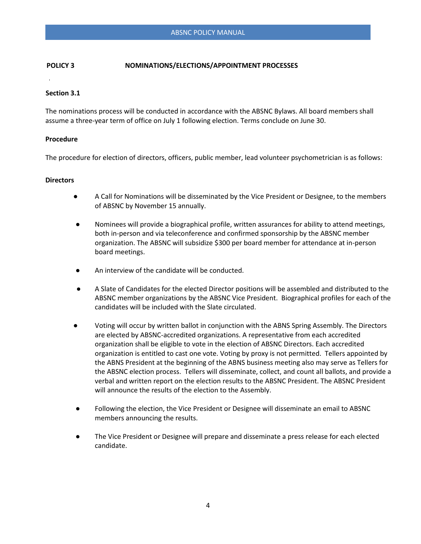# **POLICY 3 NOMINATIONS/ELECTIONS/APPOINTMENT PROCESSES**

#### **Section 3.1**

The nominations process will be conducted in accordance with the ABSNC Bylaws. All board members shall assume a three-year term of office on July 1 following election. Terms conclude on June 30.

#### **Procedure**

The procedure for election of directors, officers, public member, lead volunteer psychometrician is as follows:

#### **Directors**

- A Call for Nominations will be disseminated by the Vice President or Designee, to the members of ABSNC by November 15 annually.
- Nominees will provide a biographical profile, written assurances for ability to attend meetings, both in-person and via teleconference and confirmed sponsorship by the ABSNC member organization. The ABSNC will subsidize \$300 per board member for attendance at in-person board meetings.
- An interview of the candidate will be conducted.
- A Slate of Candidates for the elected Director positions will be assembled and distributed to the ABSNC member organizations by the ABSNC Vice President. Biographical profiles for each of the candidates will be included with the Slate circulated.
- Voting will occur by written ballot in conjunction with the ABNS Spring Assembly. The Directors are elected by ABSNC-accredited organizations. A representative from each accredited organization shall be eligible to vote in the election of ABSNC Directors. Each accredited organization is entitled to cast one vote. Voting by proxy is not permitted. Tellers appointed by the ABNS President at the beginning of the ABNS business meeting also may serve as Tellers for the ABSNC election process. Tellers will disseminate, collect, and count all ballots, and provide a verbal and written report on the election results to the ABSNC President. The ABSNC President will announce the results of the election to the Assembly.
- Following the election, the Vice President or Designee will disseminate an email to ABSNC members announcing the results.
- The Vice President or Designee will prepare and disseminate a press release for each elected candidate.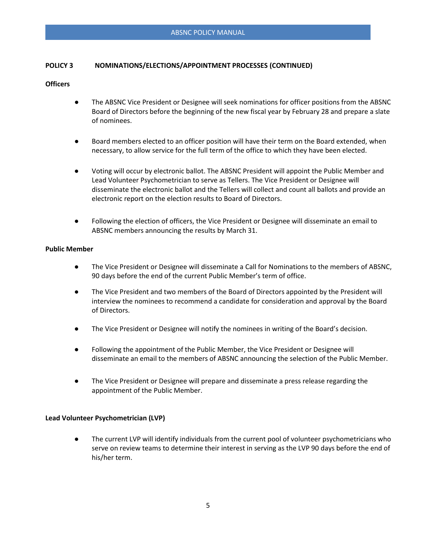# **POLICY 3 NOMINATIONS/ELECTIONS/APPOINTMENT PROCESSES (CONTINUED)**

# **Officers**

- The ABSNC Vice President or Designee will seek nominations for officer positions from the ABSNC Board of Directors before the beginning of the new fiscal year by February 28 and prepare a slate of nominees.
- Board members elected to an officer position will have their term on the Board extended, when necessary, to allow service for the full term of the office to which they have been elected.
- Voting will occur by electronic ballot. The ABSNC President will appoint the Public Member and Lead Volunteer Psychometrician to serve as Tellers. The Vice President or Designee will disseminate the electronic ballot and the Tellers will collect and count all ballots and provide an electronic report on the election results to Board of Directors.
- Following the election of officers, the Vice President or Designee will disseminate an email to ABSNC members announcing the results by March 31.

### **Public Member**

- The Vice President or Designee will disseminate a Call for Nominations to the members of ABSNC, 90 days before the end of the current Public Member's term of office.
- The Vice President and two members of the Board of Directors appointed by the President will interview the nominees to recommend a candidate for consideration and approval by the Board of Directors.
- The Vice President or Designee will notify the nominees in writing of the Board's decision.
- Following the appointment of the Public Member, the Vice President or Designee will disseminate an email to the members of ABSNC announcing the selection of the Public Member.
- The Vice President or Designee will prepare and disseminate a press release regarding the appointment of the Public Member.

#### **Lead Volunteer Psychometrician (LVP)**

The current LVP will identify individuals from the current pool of volunteer psychometricians who serve on review teams to determine their interest in serving as the LVP 90 days before the end of his/her term.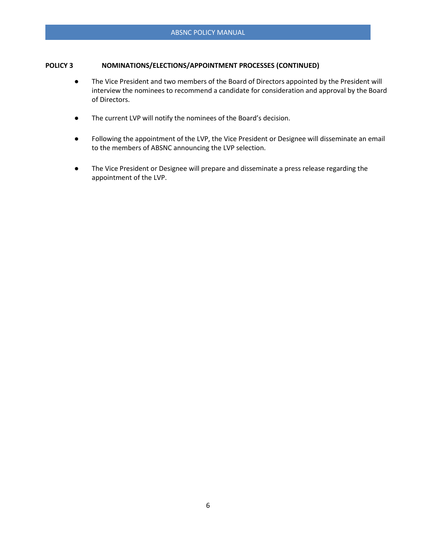# **POLICY 3 NOMINATIONS/ELECTIONS/APPOINTMENT PROCESSES (CONTINUED)**

- The Vice President and two members of the Board of Directors appointed by the President will interview the nominees to recommend a candidate for consideration and approval by the Board of Directors.
- The current LVP will notify the nominees of the Board's decision.
- Following the appointment of the LVP, the Vice President or Designee will disseminate an email to the members of ABSNC announcing the LVP selection.
- The Vice President or Designee will prepare and disseminate a press release regarding the appointment of the LVP.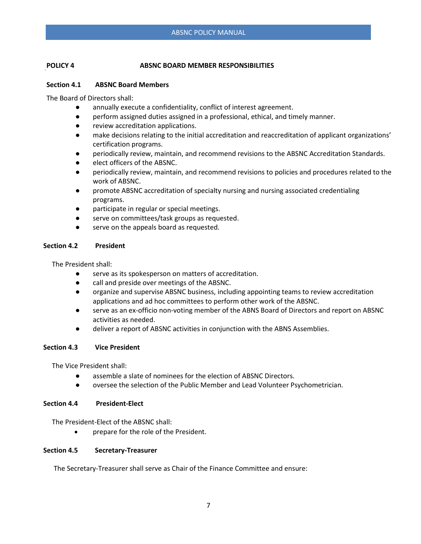# **POLICY 4 ABSNC BOARD MEMBER RESPONSIBILITIES**

# **Section 4.1 ABSNC Board Members**

The Board of Directors shall:

- annually execute a confidentiality, conflict of interest agreement.
- perform assigned duties assigned in a professional, ethical, and timely manner.
- review accreditation applications.
- make decisions relating to the initial accreditation and reaccreditation of applicant organizations' certification programs.
- periodically review, maintain, and recommend revisions to the ABSNC Accreditation Standards.
- elect officers of the ABSNC.
- periodically review, maintain, and recommend revisions to policies and procedures related to the work of ABSNC.
- promote ABSNC accreditation of specialty nursing and nursing associated credentialing programs.
- participate in regular or special meetings.
- serve on committees/task groups as requested.
- serve on the appeals board as requested.

### **Section 4.2 President**

The President shall:

- serve as its spokesperson on matters of accreditation.
- call and preside over meetings of the ABSNC.
- organize and supervise ABSNC business, including appointing teams to review accreditation applications and ad hoc committees to perform other work of the ABSNC.
- serve as an ex-officio non-voting member of the ABNS Board of Directors and report on ABSNC activities as needed.
- deliver a report of ABSNC activities in conjunction with the ABNS Assemblies.

### **Section 4.3 Vice President**

The Vice President shall:

- assemble a slate of nominees for the election of ABSNC Directors.
- oversee the selection of the Public Member and Lead Volunteer Psychometrician.

### **Section 4.4 President-Elect**

The President-Elect of the ABSNC shall:

• prepare for the role of the President.

### **Section 4.5 Secretary-Treasurer**

The Secretary-Treasurer shall serve as Chair of the Finance Committee and ensure: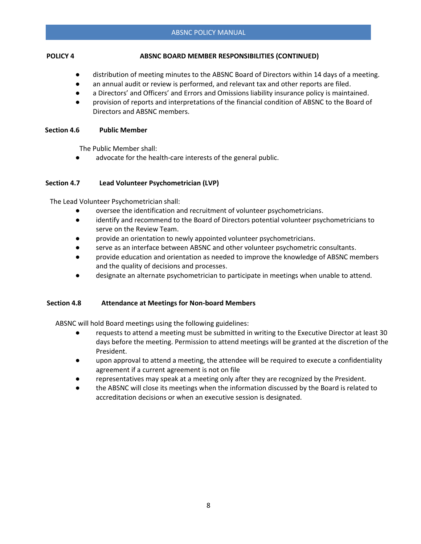# **POLICY 4 ABSNC BOARD MEMBER RESPONSIBILITIES (CONTINUED)**

- distribution of meeting minutes to the ABSNC Board of Directors within 14 days of a meeting.
- an annual audit or review is performed, and relevant tax and other reports are filed.
- a Directors' and Officers' and Errors and Omissions liability insurance policy is maintained.
- provision of reports and interpretations of the financial condition of ABSNC to the Board of Directors and ABSNC members.

#### **Section 4.6 Public Member**

The Public Member shall:

advocate for the health-care interests of the general public.

### **Section 4.7 Lead Volunteer Psychometrician (LVP)**

The Lead Volunteer Psychometrician shall:

- oversee the identification and recruitment of volunteer psychometricians.
- identify and recommend to the Board of Directors potential volunteer psychometricians to serve on the Review Team.
- provide an orientation to newly appointed volunteer psychometricians.
- serve as an interface between ABSNC and other volunteer psychometric consultants.
- provide education and orientation as needed to improve the knowledge of ABSNC members and the quality of decisions and processes.
- designate an alternate psychometrician to participate in meetings when unable to attend.

### **Section 4.8 Attendance at Meetings for Non-board Members**

ABSNC will hold Board meetings using the following guidelines:

- requests to attend a meeting must be submitted in writing to the Executive Director at least 30 days before the meeting. Permission to attend meetings will be granted at the discretion of the President.
- upon approval to attend a meeting, the attendee will be required to execute a confidentiality agreement if a current agreement is not on file
- representatives may speak at a meeting only after they are recognized by the President.
- the ABSNC will close its meetings when the information discussed by the Board is related to accreditation decisions or when an executive session is designated.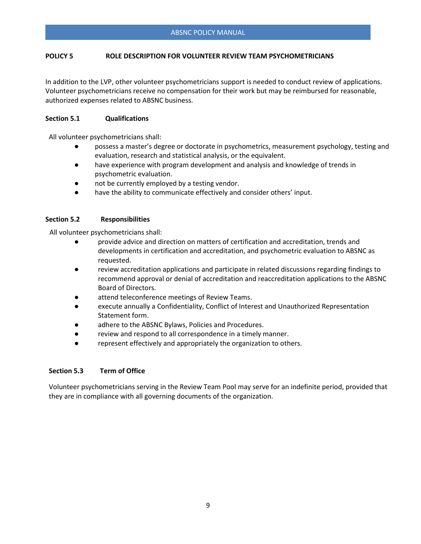# **POLICY 5 ROLE DESCRIPTION FOR VOLUNTEER REVIEW TEAM PSYCHOMETRICIANS**

In addition to the LVP, other volunteer psychometricians support is needed to conduct review of applications. Volunteer psychometricians receive no compensation for their work but may be reimbursed for reasonable, authorized expenses related to ABSNC business.

#### **Section 5.1 Qualifications**

All volunteer psychometricians shall:

- possess a master's degree or doctorate in psychometrics, measurement psychology, testing and evaluation, research and statistical analysis, or the equivalent.
- have experience with program development and analysis and knowledge of trends in psychometric evaluation.
- not be currently employed by a testing vendor.
- have the ability to communicate effectively and consider others' input.

#### **Section 5.2 Responsibilities**

All volunteer psychometricians shall:

- provide advice and direction on matters of certification and accreditation, trends and developments in certification and accreditation, and psychometric evaluation to ABSNC as requested.
- review accreditation applications and participate in related discussions regarding findings to recommend approval or denial of accreditation and reaccreditation applications to the ABSNC Board of Directors.
- attend teleconference meetings of Review Teams.
- execute annually a Confidentiality, Conflict of Interest and Unauthorized Representation Statement form.
- adhere to the ABSNC Bylaws, Policies and Procedures.
- review and respond to all correspondence in a timely manner.
- represent effectively and appropriately the organization to others.

#### **Section 5.3 Term of Office**

Volunteer psychometricians serving in the Review Team Pool may serve for an indefinite period, provided that they are in compliance with all governing documents of the organization.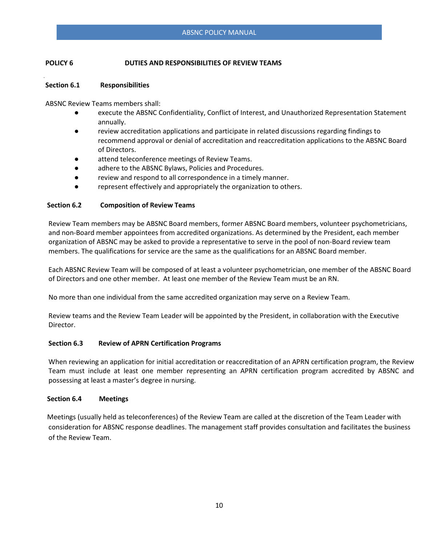# **POLICY 6 DUTIES AND RESPONSIBILITIES OF REVIEW TEAMS**

#### **Section 6.1 Responsibilities**

ABSNC Review Teams members shall:

- execute the ABSNC Confidentiality, Conflict of Interest, and Unauthorized Representation Statement annually.
- review accreditation applications and participate in related discussions regarding findings to recommend approval or denial of accreditation and reaccreditation applications to the ABSNC Board of Directors.
- attend teleconference meetings of Review Teams.
- adhere to the ABSNC Bylaws, Policies and Procedures.
- review and respond to all correspondence in a timely manner.
- represent effectively and appropriately the organization to others.

#### **Section 6.2 Composition of Review Teams**

Review Team members may be ABSNC Board members, former ABSNC Board members, volunteer psychometricians, and non-Board member appointees from accredited organizations. As determined by the President, each member organization of ABSNC may be asked to provide a representative to serve in the pool of non-Board review team members. The qualifications for service are the same as the qualifications for an ABSNC Board member.

Each ABSNC Review Team will be composed of at least a volunteer psychometrician, one member of the ABSNC Board of Directors and one other member. At least one member of the Review Team must be an RN.

No more than one individual from the same accredited organization may serve on a Review Team.

Review teams and the Review Team Leader will be appointed by the President, in collaboration with the Executive Director.

### **Section 6.3 Review of APRN Certification Programs**

When reviewing an application for initial accreditation or reaccreditation of an APRN certification program, the Review Team must include at least one member representing an APRN certification program accredited by ABSNC and possessing at least a master's degree in nursing.

#### **Section 6.4 Meetings**

Meetings (usually held as teleconferences) of the Review Team are called at the discretion of the Team Leader with consideration for ABSNC response deadlines. The management staff provides consultation and facilitates the business of the Review Team.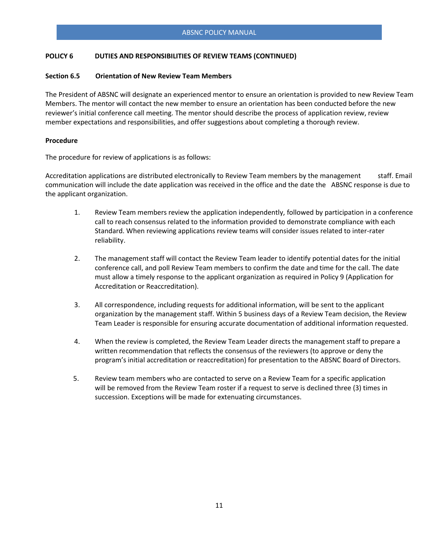### **POLICY 6 DUTIES AND RESPONSIBILITIES OF REVIEW TEAMS (CONTINUED)**

#### **Section 6.5 Orientation of New Review Team Members**

The President of ABSNC will designate an experienced mentor to ensure an orientation is provided to new Review Team Members. The mentor will contact the new member to ensure an orientation has been conducted before the new reviewer's initial conference call meeting. The mentor should describe the process of application review, review member expectations and responsibilities, and offer suggestions about completing a thorough review.

#### **Procedure**

The procedure for review of applications is as follows:

Accreditation applications are distributed electronically to Review Team members by the management staff. Email communication will include the date application was received in the office and the date the ABSNC response is due to the applicant organization.

- 1. Review Team members review the application independently, followed by participation in a conference call to reach consensus related to the information provided to demonstrate compliance with each Standard. When reviewing applications review teams will consider issues related to inter-rater reliability.
- 2. The management staff will contact the Review Team leader to identify potential dates for the initial conference call, and poll Review Team members to confirm the date and time for the call. The date must allow a timely response to the applicant organization as required in Policy 9 (Application for Accreditation or Reaccreditation).
- 3. All correspondence, including requests for additional information, will be sent to the applicant organization by the management staff. Within 5 business days of a Review Team decision, the Review Team Leader is responsible for ensuring accurate documentation of additional information requested.
- 4. When the review is completed, the Review Team Leader directs the management staff to prepare a written recommendation that reflects the consensus of the reviewers (to approve or deny the program's initial accreditation or reaccreditation) for presentation to the ABSNC Board of Directors.
- 5. Review team members who are contacted to serve on a Review Team for a specific application will be removed from the Review Team roster if a request to serve is declined three (3) times in succession. Exceptions will be made for extenuating circumstances.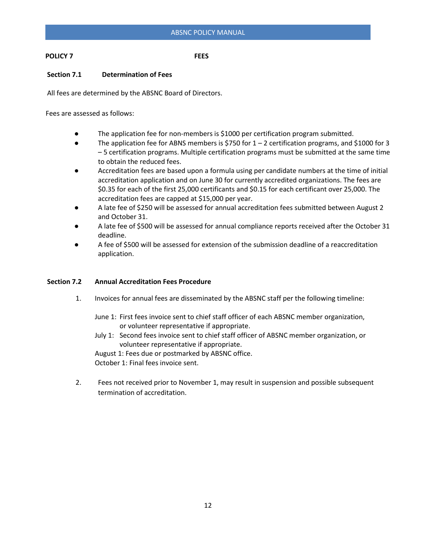# **POLICY 7 FEES**

# **Section 7.1 Determination of Fees**

All fees are determined by the ABSNC Board of Directors.

Fees are assessed as follows:

- The application fee for non-members is \$1000 per certification program submitted.
- The application fee for ABNS members is \$750 for 1 2 certification programs, and \$1000 for 3 – 5 certification programs. Multiple certification programs must be submitted at the same time to obtain the reduced fees.
- Accreditation fees are based upon a formula using per candidate numbers at the time of initial accreditation application and on June 30 for currently accredited organizations. The fees are \$0.35 for each of the first 25,000 certificants and \$0.15 for each certificant over 25,000. The accreditation fees are capped at \$15,000 per year.
- A late fee of \$250 will be assessed for annual accreditation fees submitted between August 2 and October 31.
- A late fee of \$500 will be assessed for annual compliance reports received after the October 31 deadline.
- A fee of \$500 will be assessed for extension of the submission deadline of a reaccreditation application.

### **Section 7.2 Annual Accreditation Fees Procedure**

- 1. Invoices for annual fees are disseminated by the ABSNC staff per the following timeline:
	- June 1: First fees invoice sent to chief staff officer of each ABSNC member organization, or volunteer representative if appropriate.
	- July 1: Second fees invoice sent to chief staff officer of ABSNC member organization, or volunteer representative if appropriate.

August 1: Fees due or postmarked by ABSNC office. October 1: Final fees invoice sent.

2. Fees not received prior to November 1, may result in suspension and possible subsequent termination of accreditation.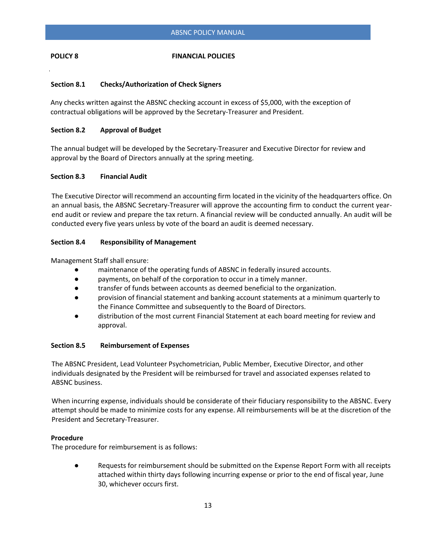### **POLICY 8** FINANCIAL POLICIES

# **Section 8.1 Checks/Authorization of Check Signers**

 Any checks written against the ABSNC checking account in excess of \$5,000, with the exception of contractual obligations will be approved by the Secretary-Treasurer and President.

### **Section 8.2 Approval of Budget**

The annual budget will be developed by the Secretary-Treasurer and Executive Director for review and approval by the Board of Directors annually at the spring meeting.

#### **Section 8.3 Financial Audit**

The Executive Director will recommend an accounting firm located in the vicinity of the headquarters office. On an annual basis, the ABSNC Secretary-Treasurer will approve the accounting firm to conduct the current yearend audit or review and prepare the tax return. A financial review will be conducted annually. An audit will be conducted every five years unless by vote of the board an audit is deemed necessary.

### **Section 8.4 Responsibility of Management**

Management Staff shall ensure:

- maintenance of the operating funds of ABSNC in federally insured accounts.
- payments, on behalf of the corporation to occur in a timely manner.
- transfer of funds between accounts as deemed beneficial to the organization.
- provision of financial statement and banking account statements at a minimum quarterly to the Finance Committee and subsequently to the Board of Directors.
- distribution of the most current Financial Statement at each board meeting for review and approval.

### **Section 8.5 Reimbursement of Expenses**

The ABSNC President, Lead Volunteer Psychometrician, Public Member, Executive Director, and other individuals designated by the President will be reimbursed for travel and associated expenses related to ABSNC business.

When incurring expense, individuals should be considerate of their fiduciary responsibility to the ABSNC. Every attempt should be made to minimize costs for any expense. All reimbursements will be at the discretion of the President and Secretary-Treasurer.

### **Procedure**

The procedure for reimbursement is as follows:

● Requests for reimbursement should be submitted on the Expense Report Form with all receipts attached within thirty days following incurring expense or prior to the end of fiscal year, June 30, whichever occurs first.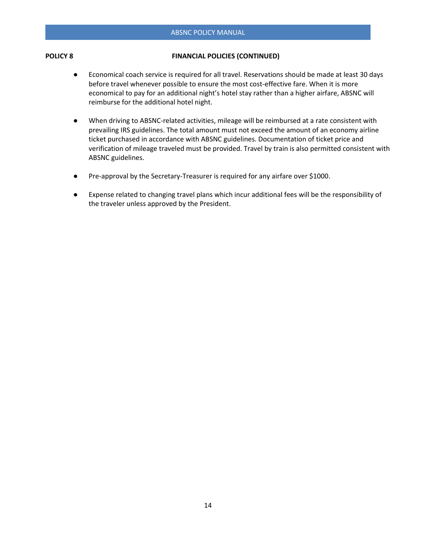#### **POLICY 8 FINANCIAL POLICIES (CONTINUED)**

- Economical coach service is required for all travel. Reservations should be made at least 30 days before travel whenever possible to ensure the most cost-effective fare. When it is more economical to pay for an additional night's hotel stay rather than a higher airfare, ABSNC will reimburse for the additional hotel night.
- When driving to ABSNC-related activities, mileage will be reimbursed at a rate consistent with prevailing IRS guidelines. The total amount must not exceed the amount of an economy airline ticket purchased in accordance with ABSNC guidelines. Documentation of ticket price and verification of mileage traveled must be provided. Travel by train is also permitted consistent with ABSNC guidelines.
- Pre-approval by the Secretary-Treasurer is required for any airfare over \$1000.
- Expense related to changing travel plans which incur additional fees will be the responsibility of the traveler unless approved by the President.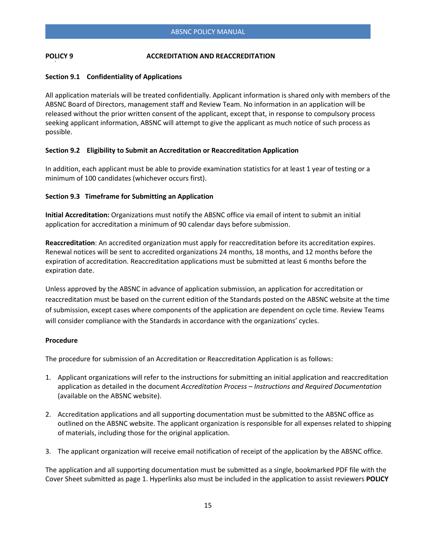#### **Section 9.1 Confidentiality of Applications**

All application materials will be treated confidentially. Applicant information is shared only with members of the ABSNC Board of Directors, management staff and Review Team. No information in an application will be released without the prior written consent of the applicant, except that, in response to compulsory process seeking applicant information, ABSNC will attempt to give the applicant as much notice of such process as possible.

### **Section 9.2 Eligibility to Submit an Accreditation or Reaccreditation Application**

In addition, each applicant must be able to provide examination statistics for at least 1 year of testing or a minimum of 100 candidates (whichever occurs first).

#### **Section 9.3 Timeframe for Submitting an Application**

**Initial Accreditation:** Organizations must notify the ABSNC office via email of intent to submit an initial application for accreditation a minimum of 90 calendar days before submission.

**Reaccreditation**: An accredited organization must apply for reaccreditation before its accreditation expires. Renewal notices will be sent to accredited organizations 24 months, 18 months, and 12 months before the expiration of accreditation. Reaccreditation applications must be submitted at least 6 months before the expiration date.

Unless approved by the ABSNC in advance of application submission, an application for accreditation or reaccreditation must be based on the current edition of the Standards posted on the ABSNC website at the time of submission, except cases where components of the application are dependent on cycle time. Review Teams will consider compliance with the Standards in accordance with the organizations' cycles.

#### **Procedure**

The procedure for submission of an Accreditation or Reaccreditation Application is as follows:

- 1. Applicant organizations will refer to the instructions for submitting an initial application and reaccreditation application as detailed in the document *Accreditation Process – Instructions and Required Documentation*  (available on the ABSNC website).
- 2. Accreditation applications and all supporting documentation must be submitted to the ABSNC office as outlined on the ABSNC website. The applicant organization is responsible for all expenses related to shipping of materials, including those for the original application.
- 3. The applicant organization will receive email notification of receipt of the application by the ABSNC office.

The application and all supporting documentation must be submitted as a single, bookmarked PDF file with the Cover Sheet submitted as page 1. Hyperlinks also must be included in the application to assist reviewers **POLICY**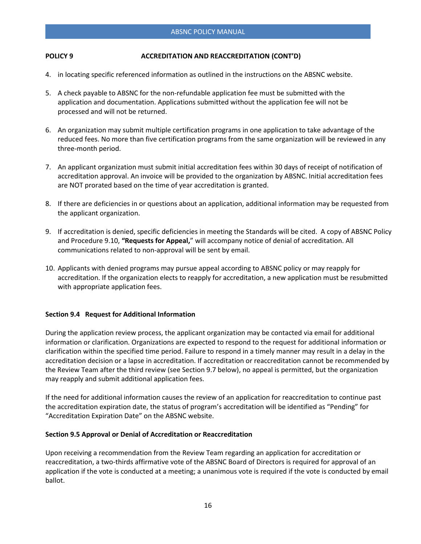- 4. in locating specific referenced information as outlined in the instructions on the ABSNC website.
- 5. A check payable to ABSNC for the non-refundable application fee must be submitted with the application and documentation. Applications submitted without the application fee will not be processed and will not be returned.
- 6. An organization may submit multiple certification programs in one application to take advantage of the reduced fees. No more than five certification programs from the same organization will be reviewed in any three-month period.
- 7. An applicant organization must submit initial accreditation fees within 30 days of receipt of notification of accreditation approval. An invoice will be provided to the organization by ABSNC. Initial accreditation fees are NOT prorated based on the time of year accreditation is granted.
- 8. If there are deficiencies in or questions about an application, additional information may be requested from the applicant organization.
- 9. If accreditation is denied, specific deficiencies in meeting the Standards will be cited. A copy of ABSNC Policy and Procedure 9.10, **"Requests for Appeal,**" will accompany notice of denial of accreditation. All communications related to non-approval will be sent by email.
- 10. Applicants with denied programs may pursue appeal according to ABSNC policy or may reapply for accreditation. If the organization elects to reapply for accreditation, a new application must be resubmitted with appropriate application fees.

### **Section 9.4 Request for Additional Information**

During the application review process, the applicant organization may be contacted via email for additional information or clarification. Organizations are expected to respond to the request for additional information or clarification within the specified time period. Failure to respond in a timely manner may result in a delay in the accreditation decision or a lapse in accreditation. If accreditation or reaccreditation cannot be recommended by the Review Team after the third review (see Section 9.7 below), no appeal is permitted, but the organization may reapply and submit additional application fees.

If the need for additional information causes the review of an application for reaccreditation to continue past the accreditation expiration date, the status of program's accreditation will be identified as "Pending" for "Accreditation Expiration Date" on the ABSNC website.

### **Section 9.5 Approval or Denial of Accreditation or Reaccreditation**

Upon receiving a recommendation from the Review Team regarding an application for accreditation or reaccreditation, a two-thirds affirmative vote of the ABSNC Board of Directors is required for approval of an application if the vote is conducted at a meeting; a unanimous vote is required if the vote is conducted by email ballot.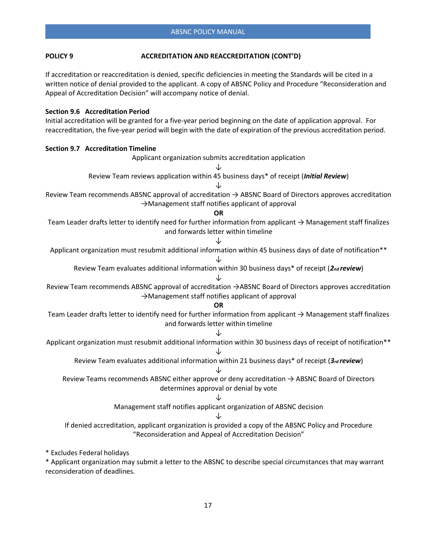If accreditation or reaccreditation is denied, specific deficiencies in meeting the Standards will be cited in a written notice of denial provided to the applicant. A copy of ABSNC Policy and Procedure "Reconsideration and Appeal of Accreditation Decision" will accompany notice of denial.

#### **Section 9.6 Accreditation Period**

Initial accreditation will be granted for a five-year period beginning on the date of application approval. For reaccreditation, the five-year period will begin with the date of expiration of the previous accreditation period.

| <b>Section 9.7 Accreditation Timeline</b>                                                                                                                                |
|--------------------------------------------------------------------------------------------------------------------------------------------------------------------------|
| Applicant organization submits accreditation application                                                                                                                 |
| J                                                                                                                                                                        |
| Review Team reviews application within 45 business days* of receipt (Initial Review)                                                                                     |
|                                                                                                                                                                          |
| Review Team recommends ABSNC approval of accreditation $\rightarrow$ ABSNC Board of Directors approves accreditation<br>>Management staff notifies applicant of approval |
| <b>OR</b>                                                                                                                                                                |
| Team Leader drafts letter to identify need for further information from applicant $\rightarrow$ Management staff finalizes<br>and forwards letter within timeline        |
|                                                                                                                                                                          |
| Applicant organization must resubmit additional information within 45 business days of date of notification**                                                            |
| Review Team evaluates additional information within 30 business days* of receipt (2nd review)                                                                            |
| Review Team recommends ABSNC approval of accreditation →ABSNC Board of Directors approves accreditation<br>>Management staff notifies applicant of approval              |
| <b>OR</b>                                                                                                                                                                |
| Team Leader drafts letter to identify need for further information from applicant $\rightarrow$ Management staff finalizes<br>and forwards letter within timeline        |
|                                                                                                                                                                          |
| Applicant organization must resubmit additional information within 30 business days of receipt of notification**                                                         |
| Review Team evaluates additional information within 21 business days* of receipt (3rd review)                                                                            |
| Review Teams recommends ABSNC either approve or deny accreditation $\rightarrow$ ABSNC Board of Directors<br>determines approval or denial by vote                       |
|                                                                                                                                                                          |
| Management staff notifies applicant organization of ABSNC decision                                                                                                       |
|                                                                                                                                                                          |
| If denied accreditation, applicant organization is provided a copy of the ABSNC Policy and Procedure<br>"Reconsideration and Appeal of Accreditation Decision"           |
| * Excludes Federal holidays                                                                                                                                              |

\* Applicant organization may submit a letter to the ABSNC to describe special circumstances that may warrant reconsideration of deadlines.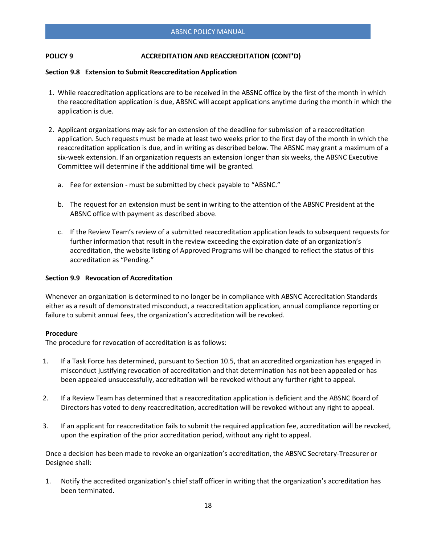#### **Section 9.8 Extension to Submit Reaccreditation Application**

- 1. While reaccreditation applications are to be received in the ABSNC office by the first of the month in which the reaccreditation application is due, ABSNC will accept applications anytime during the month in which the application is due.
- 2. Applicant organizations may ask for an extension of the deadline for submission of a reaccreditation application. Such requests must be made at least two weeks prior to the first day of the month in which the reaccreditation application is due, and in writing as described below. The ABSNC may grant a maximum of a six-week extension. If an organization requests an extension longer than six weeks, the ABSNC Executive Committee will determine if the additional time will be granted.
	- a. Fee for extension must be submitted by check payable to "ABSNC."
	- b. The request for an extension must be sent in writing to the attention of the ABSNC President at the ABSNC office with payment as described above.
	- c. If the Review Team's review of a submitted reaccreditation application leads to subsequent requests for further information that result in the review exceeding the expiration date of an organization's accreditation, the website listing of Approved Programs will be changed to reflect the status of this accreditation as "Pending."

### **Section 9.9 Revocation of Accreditation**

Whenever an organization is determined to no longer be in compliance with ABSNC Accreditation Standards either as a result of demonstrated misconduct, a reaccreditation application, annual compliance reporting or failure to submit annual fees, the organization's accreditation will be revoked.

#### **Procedure**

The procedure for revocation of accreditation is as follows:

- 1. If a Task Force has determined, pursuant to Section 10.5, that an accredited organization has engaged in misconduct justifying revocation of accreditation and that determination has not been appealed or has been appealed unsuccessfully, accreditation will be revoked without any further right to appeal.
- 2. If a Review Team has determined that a reaccreditation application is deficient and the ABSNC Board of Directors has voted to deny reaccreditation, accreditation will be revoked without any right to appeal.
- 3. If an applicant for reaccreditation fails to submit the required application fee, accreditation will be revoked, upon the expiration of the prior accreditation period, without any right to appeal.

Once a decision has been made to revoke an organization's accreditation, the ABSNC Secretary-Treasurer or Designee shall:

1. Notify the accredited organization's chief staff officer in writing that the organization's accreditation has been terminated.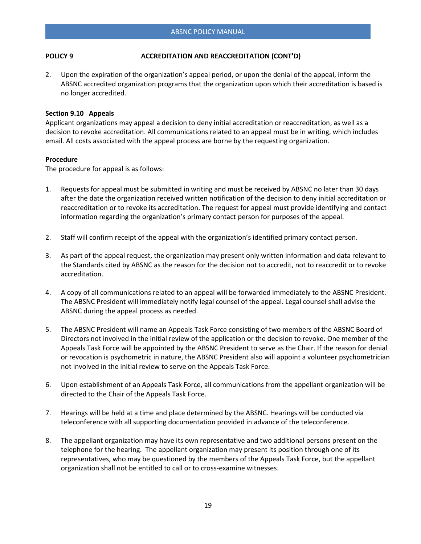2. Upon the expiration of the organization's appeal period, or upon the denial of the appeal, inform the ABSNC accredited organization programs that the organization upon which their accreditation is based is no longer accredited.

#### **Section 9.10 Appeals**

Applicant organizations may appeal a decision to deny initial accreditation or reaccreditation, as well as a decision to revoke accreditation. All communications related to an appeal must be in writing, which includes email. All costs associated with the appeal process are borne by the requesting organization.

#### **Procedure**

The procedure for appeal is as follows:

- 1. Requests for appeal must be submitted in writing and must be received by ABSNC no later than 30 days after the date the organization received written notification of the decision to deny initial accreditation or reaccreditation or to revoke its accreditation. The request for appeal must provide identifying and contact information regarding the organization's primary contact person for purposes of the appeal.
- 2. Staff will confirm receipt of the appeal with the organization's identified primary contact person.
- 3. As part of the appeal request, the organization may present only written information and data relevant to the Standards cited by ABSNC as the reason for the decision not to accredit, not to reaccredit or to revoke accreditation.
- 4. A copy of all communications related to an appeal will be forwarded immediately to the ABSNC President. The ABSNC President will immediately notify legal counsel of the appeal. Legal counsel shall advise the ABSNC during the appeal process as needed.
- 5. The ABSNC President will name an Appeals Task Force consisting of two members of the ABSNC Board of Directors not involved in the initial review of the application or the decision to revoke. One member of the Appeals Task Force will be appointed by the ABSNC President to serve as the Chair. If the reason for denial or revocation is psychometric in nature, the ABSNC President also will appoint a volunteer psychometrician not involved in the initial review to serve on the Appeals Task Force.
- 6. Upon establishment of an Appeals Task Force, all communications from the appellant organization will be directed to the Chair of the Appeals Task Force.
- 7. Hearings will be held at a time and place determined by the ABSNC. Hearings will be conducted via teleconference with all supporting documentation provided in advance of the teleconference.
- 8. The appellant organization may have its own representative and two additional persons present on the telephone for the hearing. The appellant organization may present its position through one of its representatives, who may be questioned by the members of the Appeals Task Force, but the appellant organization shall not be entitled to call or to cross-examine witnesses.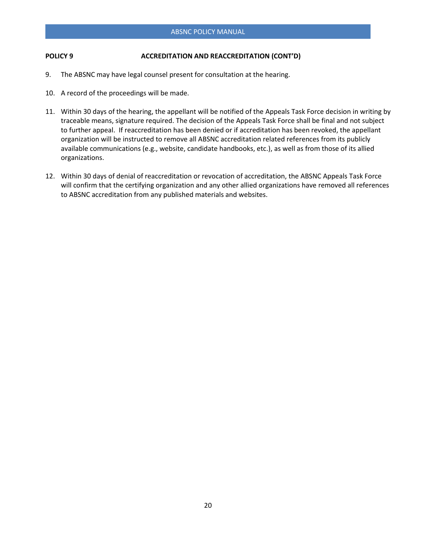- 9. The ABSNC may have legal counsel present for consultation at the hearing.
- 10. A record of the proceedings will be made.
- 11. Within 30 days of the hearing, the appellant will be notified of the Appeals Task Force decision in writing by traceable means, signature required. The decision of the Appeals Task Force shall be final and not subject to further appeal. If reaccreditation has been denied or if accreditation has been revoked, the appellant organization will be instructed to remove all ABSNC accreditation related references from its publicly available communications (e.g., website, candidate handbooks, etc.), as well as from those of its allied organizations.
- 12. Within 30 days of denial of reaccreditation or revocation of accreditation, the ABSNC Appeals Task Force will confirm that the certifying organization and any other allied organizations have removed all references to ABSNC accreditation from any published materials and websites.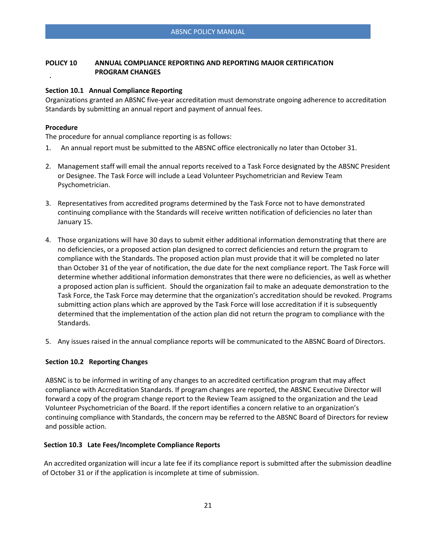# **POLICY 10 ANNUAL COMPLIANCE REPORTING AND REPORTING MAJOR CERTIFICATION PROGRAM CHANGES**

### **Section 10.1 Annual Compliance Reporting**

Organizations granted an ABSNC five-year accreditation must demonstrate ongoing adherence to accreditation Standards by submitting an annual report and payment of annual fees.

# **Procedure**

The procedure for annual compliance reporting is as follows:

- 1. An annual report must be submitted to the ABSNC office electronically no later than October 31.
- 2. Management staff will email the annual reports received to a Task Force designated by the ABSNC President or Designee. The Task Force will include a Lead Volunteer Psychometrician and Review Team Psychometrician.
- 3. Representatives from accredited programs determined by the Task Force not to have demonstrated continuing compliance with the Standards will receive written notification of deficiencies no later than January 15.
- 4. Those organizations will have 30 days to submit either additional information demonstrating that there are no deficiencies, or a proposed action plan designed to correct deficiencies and return the program to compliance with the Standards. The proposed action plan must provide that it will be completed no later than October 31 of the year of notification, the due date for the next compliance report. The Task Force will determine whether additional information demonstrates that there were no deficiencies, as well as whether a proposed action plan is sufficient. Should the organization fail to make an adequate demonstration to the Task Force, the Task Force may determine that the organization's accreditation should be revoked. Programs submitting action plans which are approved by the Task Force will lose accreditation if it is subsequently determined that the implementation of the action plan did not return the program to compliance with the Standards.
- 5. Any issues raised in the annual compliance reports will be communicated to the ABSNC Board of Directors.

# **Section 10.2 Reporting Changes**

ABSNC is to be informed in writing of any changes to an accredited certification program that may affect compliance with Accreditation Standards. If program changes are reported, the ABSNC Executive Director will forward a copy of the program change report to the Review Team assigned to the organization and the Lead Volunteer Psychometrician of the Board. If the report identifies a concern relative to an organization's continuing compliance with Standards, the concern may be referred to the ABSNC Board of Directors for review and possible action.

### **Section 10.3 Late Fees/Incomplete Compliance Reports**

An accredited organization will incur a late fee if its compliance report is submitted after the submission deadline of October 31 or if the application is incomplete at time of submission.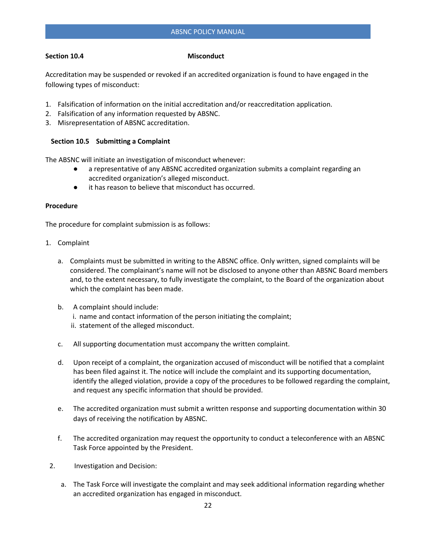### **Section 10.4** Misconduct

Accreditation may be suspended or revoked if an accredited organization is found to have engaged in the following types of misconduct:

- 1. Falsification of information on the initial accreditation and/or reaccreditation application.
- 2. Falsification of any information requested by ABSNC.
- 3. Misrepresentation of ABSNC accreditation.

#### **Section 10.5 Submitting a Complaint**

The ABSNC will initiate an investigation of misconduct whenever:

- a representative of any ABSNC accredited organization submits a complaint regarding an accredited organization's alleged misconduct.
- it has reason to believe that misconduct has occurred.

#### **Procedure**

The procedure for complaint submission is as follows:

- 1. Complaint
	- a. Complaints must be submitted in writing to the ABSNC office. Only written, signed complaints will be considered. The complainant's name will not be disclosed to anyone other than ABSNC Board members and, to the extent necessary, to fully investigate the complaint, to the Board of the organization about which the complaint has been made.
	- b. A complaint should include: i. name and contact information of the person initiating the complaint; ii. statement of the alleged misconduct.
	- c. All supporting documentation must accompany the written complaint.
	- d. Upon receipt of a complaint, the organization accused of misconduct will be notified that a complaint has been filed against it. The notice will include the complaint and its supporting documentation, identify the alleged violation, provide a copy of the procedures to be followed regarding the complaint, and request any specific information that should be provided.
	- e. The accredited organization must submit a written response and supporting documentation within 30 days of receiving the notification by ABSNC.
	- f. The accredited organization may request the opportunity to conduct a teleconference with an ABSNC Task Force appointed by the President.
- 2. Investigation and Decision:
	- a. The Task Force will investigate the complaint and may seek additional information regarding whether an accredited organization has engaged in misconduct.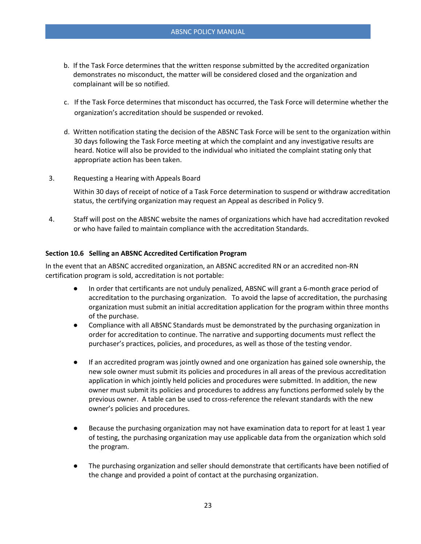- b. If the Task Force determines that the written response submitted by the accredited organization demonstrates no misconduct, the matter will be considered closed and the organization and complainant will be so notified.
- c. If the Task Force determines that misconduct has occurred, the Task Force will determine whether the organization's accreditation should be suspended or revoked.
- d. Written notification stating the decision of the ABSNC Task Force will be sent to the organization within 30 days following the Task Force meeting at which the complaint and any investigative results are heard. Notice will also be provided to the individual who initiated the complaint stating only that appropriate action has been taken.
- 3. Requesting a Hearing with Appeals Board

Within 30 days of receipt of notice of a Task Force determination to suspend or withdraw accreditation status, the certifying organization may request an Appeal as described in Policy 9.

4. Staff will post on the ABSNC website the names of organizations which have had accreditation revoked or who have failed to maintain compliance with the accreditation Standards.

### **Section 10.6 Selling an ABSNC Accredited Certification Program**

In the event that an ABSNC accredited organization, an ABSNC accredited RN or an accredited non-RN certification program is sold, accreditation is not portable:

- In order that certificants are not unduly penalized, ABSNC will grant a 6-month grace period of accreditation to the purchasing organization. To avoid the lapse of accreditation, the purchasing organization must submit an initial accreditation application for the program within three months of the purchase.
- Compliance with all ABSNC Standards must be demonstrated by the purchasing organization in order for accreditation to continue. The narrative and supporting documents must reflect the purchaser's practices, policies, and procedures, as well as those of the testing vendor.
- If an accredited program was jointly owned and one organization has gained sole ownership, the new sole owner must submit its policies and procedures in all areas of the previous accreditation application in which jointly held policies and procedures were submitted. In addition, the new owner must submit its policies and procedures to address any functions performed solely by the previous owner. A table can be used to cross-reference the relevant standards with the new owner's policies and procedures.
- Because the purchasing organization may not have examination data to report for at least 1 year of testing, the purchasing organization may use applicable data from the organization which sold the program.
- The purchasing organization and seller should demonstrate that certificants have been notified of the change and provided a point of contact at the purchasing organization.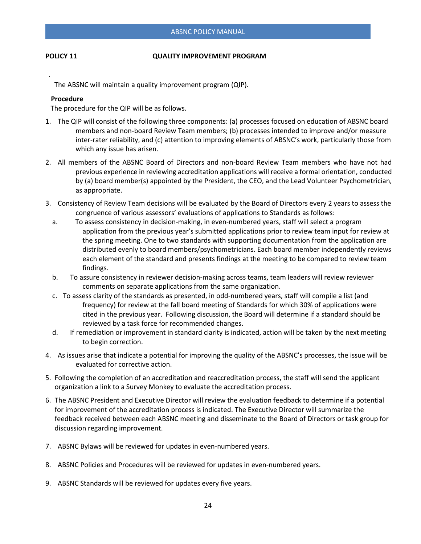#### **POLICY 11 QUALITY IMPROVEMENT PROGRAM**

The ABSNC will maintain a quality improvement program (QIP).

#### **Procedure**

The procedure for the QIP will be as follows.

- 1. The QIP will consist of the following three components: (a) processes focused on education of ABSNC board members and non-board Review Team members; (b) processes intended to improve and/or measure inter-rater reliability, and (c) attention to improving elements of ABSNC's work, particularly those from which any issue has arisen.
- 2. All members of the ABSNC Board of Directors and non-board Review Team members who have not had previous experience in reviewing accreditation applications will receive a formal orientation, conducted by (a) board member(s) appointed by the President, the CEO, and the Lead Volunteer Psychometrician, as appropriate.
- 3. Consistency of Review Team decisions will be evaluated by the Board of Directors every 2 years to assess the congruence of various assessors' evaluations of applications to Standards as follows:
	- a. To assess consistency in decision-making, in even-numbered years, staff will select a program application from the previous year's submitted applications prior to review team input for review at the spring meeting. One to two standards with supporting documentation from the application are distributed evenly to board members/psychometricians. Each board member independently reviews each element of the standard and presents findings at the meeting to be compared to review team findings.
	- b. To assure consistency in reviewer decision-making across teams, team leaders will review reviewer comments on separate applications from the same organization.
	- c. To assess clarity of the standards as presented, in odd-numbered years, staff will compile a list (and frequency) for review at the fall board meeting of Standards for which 30% of applications were cited in the previous year. Following discussion, the Board will determine if a standard should be reviewed by a task force for recommended changes.
	- d. If remediation or improvement in standard clarity is indicated, action will be taken by the next meeting to begin correction.
- 4. As issues arise that indicate a potential for improving the quality of the ABSNC's processes, the issue will be evaluated for corrective action.
- 5. Following the completion of an accreditation and reaccreditation process, the staff will send the applicant organization a link to a Survey Monkey to evaluate the accreditation process.
- 6. The ABSNC President and Executive Director will review the evaluation feedback to determine if a potential for improvement of the accreditation process is indicated. The Executive Director will summarize the feedback received between each ABSNC meeting and disseminate to the Board of Directors or task group for discussion regarding improvement.
- 7. ABSNC Bylaws will be reviewed for updates in even-numbered years.
- 8. ABSNC Policies and Procedures will be reviewed for updates in even-numbered years.
- 9. ABSNC Standards will be reviewed for updates every five years.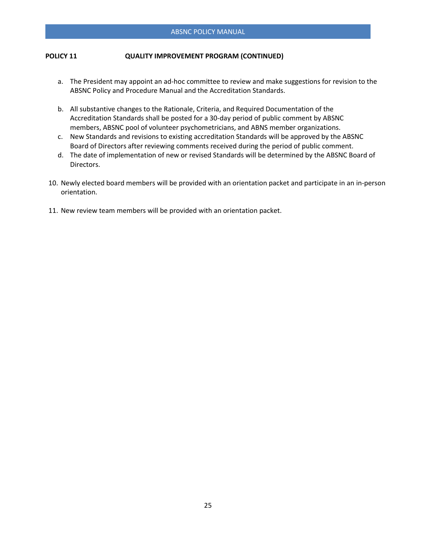# **POLICY 11 QUALITY IMPROVEMENT PROGRAM (CONTINUED)**

- a. The President may appoint an ad-hoc committee to review and make suggestions for revision to the ABSNC Policy and Procedure Manual and the Accreditation Standards.
- b. All substantive changes to the Rationale, Criteria, and Required Documentation of the Accreditation Standards shall be posted for a 30-day period of public comment by ABSNC members, ABSNC pool of volunteer psychometricians, and ABNS member organizations.
- c. New Standards and revisions to existing accreditation Standards will be approved by the ABSNC Board of Directors after reviewing comments received during the period of public comment.
- d. The date of implementation of new or revised Standards will be determined by the ABSNC Board of Directors.
- 10. Newly elected board members will be provided with an orientation packet and participate in an in-person orientation.
- 11. New review team members will be provided with an orientation packet.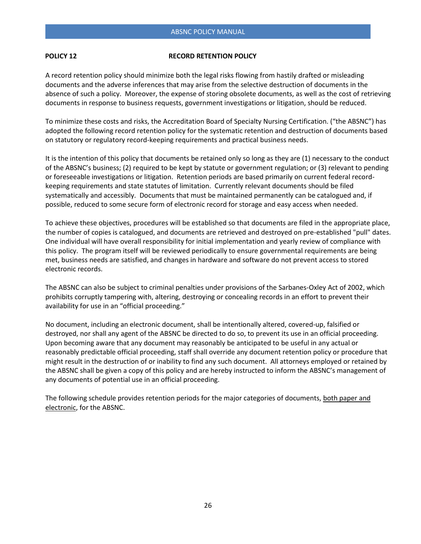#### **POLICY 12** RECORD RETENTION POLICY

A record retention policy should minimize both the legal risks flowing from hastily drafted or misleading documents and the adverse inferences that may arise from the selective destruction of documents in the absence of such a policy. Moreover, the expense of storing obsolete documents, as well as the cost of retrieving documents in response to business requests, government investigations or litigation, should be reduced.

To minimize these costs and risks, the Accreditation Board of Specialty Nursing Certification. ("the ABSNC") has adopted the following record retention policy for the systematic retention and destruction of documents based on statutory or regulatory record-keeping requirements and practical business needs.

It is the intention of this policy that documents be retained only so long as they are (1) necessary to the conduct of the ABSNC's business; (2) required to be kept by statute or government regulation; or (3) relevant to pending or foreseeable investigations or litigation. Retention periods are based primarily on current federal recordkeeping requirements and state statutes of limitation. Currently relevant documents should be filed systematically and accessibly. Documents that must be maintained permanently can be catalogued and, if possible, reduced to some secure form of electronic record for storage and easy access when needed.

To achieve these objectives, procedures will be established so that documents are filed in the appropriate place, the number of copies is catalogued, and documents are retrieved and destroyed on pre-established "pull" dates. One individual will have overall responsibility for initial implementation and yearly review of compliance with this policy. The program itself will be reviewed periodically to ensure governmental requirements are being met, business needs are satisfied, and changes in hardware and software do not prevent access to stored electronic records.

The ABSNC can also be subject to criminal penalties under provisions of the Sarbanes-Oxley Act of 2002, which prohibits corruptly tampering with, altering, destroying or concealing records in an effort to prevent their availability for use in an "official proceeding."

No document, including an electronic document, shall be intentionally altered, covered-up, falsified or destroyed, nor shall any agent of the ABSNC be directed to do so, to prevent its use in an official proceeding. Upon becoming aware that any document may reasonably be anticipated to be useful in any actual or reasonably predictable official proceeding, staff shall override any document retention policy or procedure that might result in the destruction of or inability to find any such document. All attorneys employed or retained by the ABSNC shall be given a copy of this policy and are hereby instructed to inform the ABSNC's management of any documents of potential use in an official proceeding.

The following schedule provides retention periods for the major categories of documents, both paper and electronic, for the ABSNC.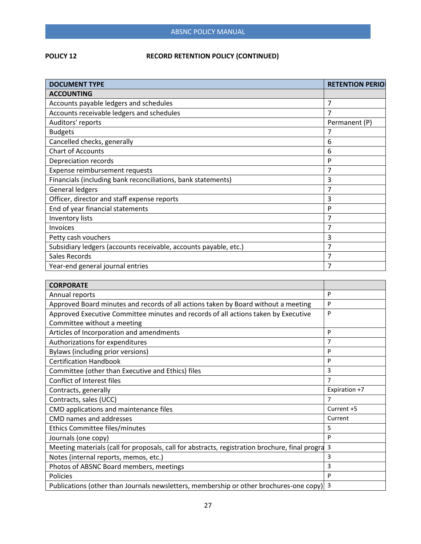# **POLICY 12 RECORD RETENTION POLICY (CONTINUED)**

| <b>DOCUMENT TYPE</b>                                             | <b>RETENTION PERIOL</b> |
|------------------------------------------------------------------|-------------------------|
| <b>ACCOUNTING</b>                                                |                         |
| Accounts payable ledgers and schedules                           | 7                       |
| Accounts receivable ledgers and schedules                        | 7                       |
| Auditors' reports                                                | Permanent (P)           |
| <b>Budgets</b>                                                   | 7                       |
| Cancelled checks, generally                                      | 6                       |
| <b>Chart of Accounts</b>                                         | 6                       |
| Depreciation records                                             | P                       |
| Expense reimbursement requests                                   |                         |
| Financials (including bank reconciliations, bank statements)     | 3                       |
| <b>General ledgers</b>                                           | 7                       |
| Officer, director and staff expense reports                      | 3                       |
| End of year financial statements                                 | P                       |
| Inventory lists                                                  | 7                       |
| <b>Invoices</b>                                                  | 7                       |
| Petty cash vouchers                                              | 3                       |
| Subsidiary ledgers (accounts receivable, accounts payable, etc.) | 7                       |
| Sales Records                                                    |                         |
| Year-end general journal entries                                 |                         |

| <b>CORPORATE</b>                                                                               |               |
|------------------------------------------------------------------------------------------------|---------------|
| Annual reports                                                                                 | P             |
| Approved Board minutes and records of all actions taken by Board without a meeting             | P             |
| Approved Executive Committee minutes and records of all actions taken by Executive             | P             |
| Committee without a meeting                                                                    |               |
| Articles of Incorporation and amendments                                                       | P             |
| Authorizations for expenditures                                                                | 7             |
| Bylaws (including prior versions)                                                              | P             |
| <b>Certification Handbook</b>                                                                  | P             |
| Committee (other than Executive and Ethics) files                                              | 3             |
| Conflict of Interest files                                                                     | 7             |
| Contracts, generally                                                                           | Expiration +7 |
|                                                                                                |               |
| Contracts, sales (UCC)                                                                         | 7             |
| CMD applications and maintenance files                                                         | Current +5    |
| CMD names and addresses                                                                        | Current       |
| Ethics Committee files/minutes                                                                 | 5             |
| Journals (one copy)                                                                            | P             |
| Meeting materials (call for proposals, call for abstracts, registration brochure, final progra | 3             |
| Notes (internal reports, memos, etc.)                                                          | 3             |
| Photos of ABSNC Board members, meetings                                                        | 3             |
| Policies                                                                                       | P             |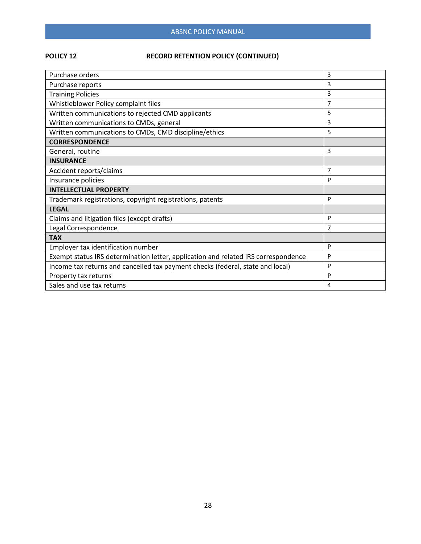# ABSNC POLICY MANUAL

# **POLICY 12 RECORD RETENTION POLICY (CONTINUED)**

| Purchase orders                                                                    | 3 |
|------------------------------------------------------------------------------------|---|
| Purchase reports                                                                   | 3 |
| <b>Training Policies</b>                                                           | 3 |
| Whistleblower Policy complaint files                                               | 7 |
| Written communications to rejected CMD applicants                                  | 5 |
| Written communications to CMDs, general                                            | 3 |
| Written communications to CMDs, CMD discipline/ethics                              | 5 |
| <b>CORRESPONDENCE</b>                                                              |   |
| General, routine                                                                   | 3 |
| <b>INSURANCE</b>                                                                   |   |
| Accident reports/claims                                                            | 7 |
| Insurance policies                                                                 | P |
| <b>INTELLECTUAL PROPERTY</b>                                                       |   |
| Trademark registrations, copyright registrations, patents                          | P |
| <b>LEGAL</b>                                                                       |   |
| Claims and litigation files (except drafts)                                        | P |
| Legal Correspondence                                                               | 7 |
| <b>TAX</b>                                                                         |   |
| Employer tax identification number                                                 | P |
| Exempt status IRS determination letter, application and related IRS correspondence | P |
| Income tax returns and cancelled tax payment checks (federal, state and local)     | P |
| Property tax returns                                                               | P |
| Sales and use tax returns                                                          | 4 |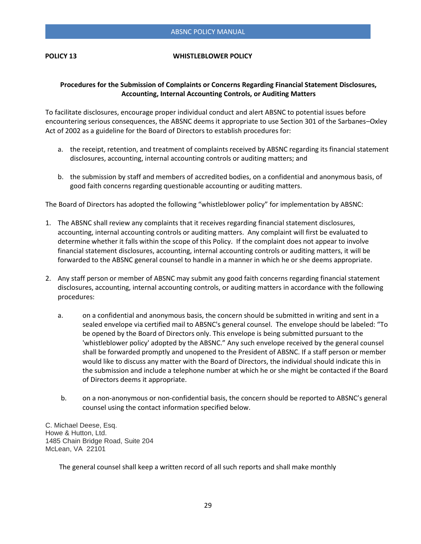#### **POLICY 13 WHISTLEBLOWER POLICY**

# **Procedures for the Submission of Complaints or Concerns Regarding Financial Statement Disclosures, Accounting, Internal Accounting Controls, or Auditing Matters**

To facilitate disclosures, encourage proper individual conduct and alert ABSNC to potential issues before encountering serious consequences, the ABSNC deems it appropriate to use Section 301 of the Sarbanes–Oxley Act of 2002 as a guideline for the Board of Directors to establish procedures for:

- a. the receipt, retention, and treatment of complaints received by ABSNC regarding its financial statement disclosures, accounting, internal accounting controls or auditing matters; and
- b. the submission by staff and members of accredited bodies, on a confidential and anonymous basis, of good faith concerns regarding questionable accounting or auditing matters.

The Board of Directors has adopted the following "whistleblower policy" for implementation by ABSNC:

- 1. The ABSNC shall review any complaints that it receives regarding financial statement disclosures, accounting, internal accounting controls or auditing matters. Any complaint will first be evaluated to determine whether it falls within the scope of this Policy. If the complaint does not appear to involve financial statement disclosures, accounting, internal accounting controls or auditing matters, it will be forwarded to the ABSNC general counsel to handle in a manner in which he or she deems appropriate.
- 2. Any staff person or member of ABSNC may submit any good faith concerns regarding financial statement disclosures, accounting, internal accounting controls, or auditing matters in accordance with the following procedures:
	- a. on a confidential and anonymous basis, the concern should be submitted in writing and sent in a sealed envelope via certified mail to ABSNC's general counsel. The envelope should be labeled: "To be opened by the Board of Directors only. This envelope is being submitted pursuant to the 'whistleblower policy' adopted by the ABSNC." Any such envelope received by the general counsel shall be forwarded promptly and unopened to the President of ABSNC. If a staff person or member would like to discuss any matter with the Board of Directors, the individual should indicate this in the submission and include a telephone number at which he or she might be contacted if the Board of Directors deems it appropriate.
	- b. on a non-anonymous or non-confidential basis, the concern should be reported to ABSNC's general counsel using the contact information specified below.

C. Michael Deese, Esq. Howe & Hutton, Ltd. 1485 Chain Bridge Road, Suite 204 McLean, VA 22101

The general counsel shall keep a written record of all such reports and shall make monthly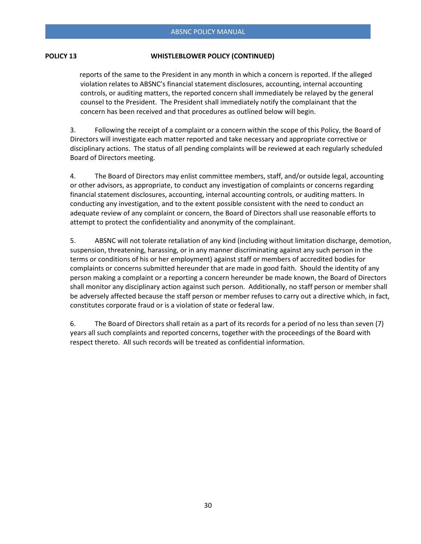# **POLICY 13 WHISTLEBLOWER POLICY (CONTINUED)**

 reports of the same to the President in any month in which a concern is reported. If the alleged violation relates to ABSNC's financial statement disclosures, accounting, internal accounting controls, or auditing matters, the reported concern shall immediately be relayed by the general counsel to the President. The President shall immediately notify the complainant that the concern has been received and that procedures as outlined below will begin.

3. Following the receipt of a complaint or a concern within the scope of this Policy, the Board of Directors will investigate each matter reported and take necessary and appropriate corrective or disciplinary actions. The status of all pending complaints will be reviewed at each regularly scheduled Board of Directors meeting.

4. The Board of Directors may enlist committee members, staff, and/or outside legal, accounting or other advisors, as appropriate, to conduct any investigation of complaints or concerns regarding financial statement disclosures, accounting, internal accounting controls, or auditing matters. In conducting any investigation, and to the extent possible consistent with the need to conduct an adequate review of any complaint or concern, the Board of Directors shall use reasonable efforts to attempt to protect the confidentiality and anonymity of the complainant.

5. ABSNC will not tolerate retaliation of any kind (including without limitation discharge, demotion, suspension, threatening, harassing, or in any manner discriminating against any such person in the terms or conditions of his or her employment) against staff or members of accredited bodies for complaints or concerns submitted hereunder that are made in good faith. Should the identity of any person making a complaint or a reporting a concern hereunder be made known, the Board of Directors shall monitor any disciplinary action against such person. Additionally, no staff person or member shall be adversely affected because the staff person or member refuses to carry out a directive which, in fact, constitutes corporate fraud or is a violation of state or federal law.

6. The Board of Directors shall retain as a part of its records for a period of no less than seven (7) years all such complaints and reported concerns, together with the proceedings of the Board with respect thereto. All such records will be treated as confidential information.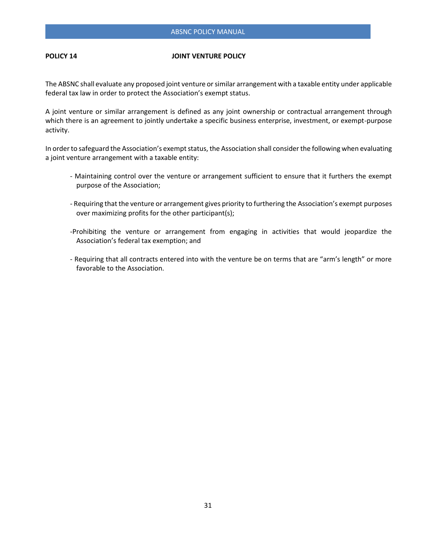#### **POLICY 14** JOINT VENTURE POLICY

The ABSNC shall evaluate any proposed joint venture or similar arrangement with a taxable entity under applicable federal tax law in order to protect the Association's exempt status.

A joint venture or similar arrangement is defined as any joint ownership or contractual arrangement through which there is an agreement to jointly undertake a specific business enterprise, investment, or exempt-purpose activity.

In order to safeguard the Association's exempt status, the Association shall consider the following when evaluating a joint venture arrangement with a taxable entity:

- Maintaining control over the venture or arrangement sufficient to ensure that it furthers the exempt purpose of the Association;
- Requiring that the venture or arrangement gives priority to furthering the Association's exempt purposes over maximizing profits for the other participant(s);
- -Prohibiting the venture or arrangement from engaging in activities that would jeopardize the Association's federal tax exemption; and
- Requiring that all contracts entered into with the venture be on terms that are "arm's length" or more favorable to the Association.